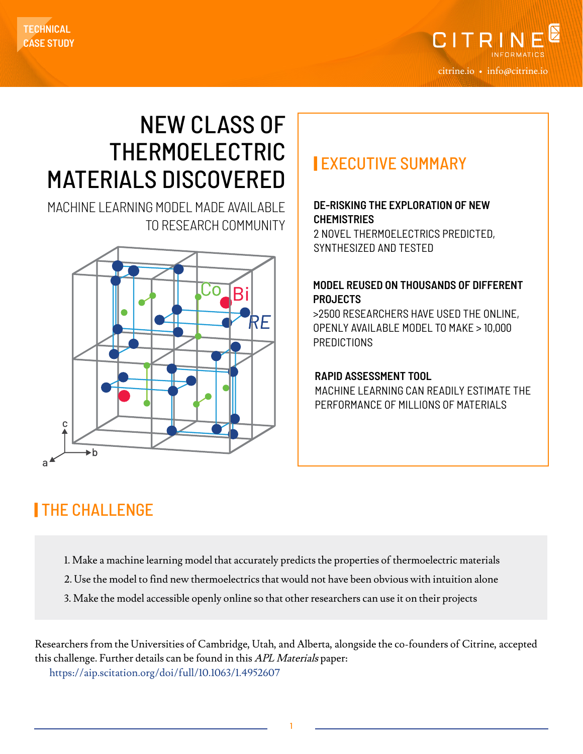

# NEW CLASS OF THERMOELECTRIC MATERIALS DISCOVERED | EXECUTIVE SUMMARY

MACHINE LEARNING MODEL MADE AVAILABLE TO RESEARCH COMMUNITY



#### **DE-RISKING THE EXPLORATION OF NEW CHEMISTRIES**

2 NOVEL THERMOELECTRICS PREDICTED, SYNTHESIZED AND TESTED

#### **MODEL REUSED ON THOUSANDS OF DIFFERENT PROJECTS**

>2500 RESEARCHERS HAVE USED THE ONLINE, OPENLY AVAILABLE MODEL TO MAKE > 10,000 **PREDICTIONS** 

#### **RAPID ASSESSMENT TOOL**

MACHINE LEARNING CAN READILY ESTIMATE THE PERFORMANCE OF MILLIONS OF MATERIALS

### | THE CHALLENGE

- 1. Make a machine learning model that accurately predicts the properties of thermoelectric materials
- 2. Use the model to find new thermoelectrics that would not have been obvious with intuition alone
- 3. Make the model accessible openly online so that other researchers can use it on their projects

Researchers from the Universities of Cambridge, Utah, and Alberta, alongside the co-founders of Citrine, accepted this challenge. Further details can be found in this APL Materials paper: <https://aip.scitation.org/doi/full/10.1063/1.4952607>

1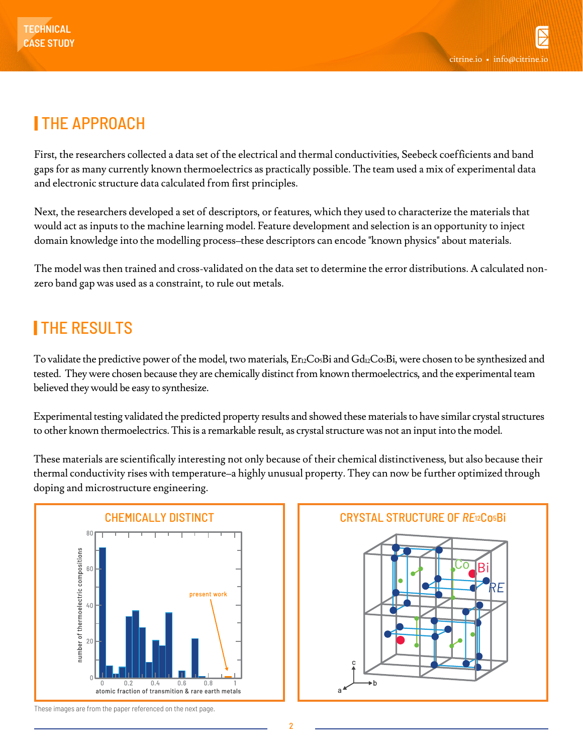## | THE APPROACH

First, the researchers collected a data set of the electrical and thermal conductivities, Seebeck coefficients and band gaps for as many currently known thermoelectrics as practically possible. The team used a mix of experimental data and electronic structure data calculated from first principles.

Next, the researchers developed a set of descriptors, or features, which they used to characterize the materials that would act as inputs to the machine learning model. Feature development and selection is an opportunity to inject domain knowledge into the modelling process–these descriptors can encode "known physics" about materials.

The model was then trained and cross-validated on the data set to determine the error distributions. A calculated nonzero band gap was used as a constraint, to rule out metals.

## **ITHE RESULTS**

To validate the predictive power of the model, two materials,  $Er<sub>12</sub>Co<sub>5</sub>Bi$  and  $Gd<sub>12</sub>Co<sub>5</sub>Bi$ , were chosen to be synthesized and tested. They were chosen because they are chemically distinct from known thermoelectrics, and the experimental team believed they would be easy to synthesize.

Experimental testing validated the predicted property results and showed these materials to have similar crystal structures to other known thermoelectrics. This is a remarkable result, as crystal structure was not an input into the model.

These materials are scientifically interesting not only because of their chemical distinctiveness, but also because their thermal conductivity rises with temperature–a highly unusual property. They can now be further optimized through doping and microstructure engineering.





These images are from the paper referenced on the next page.